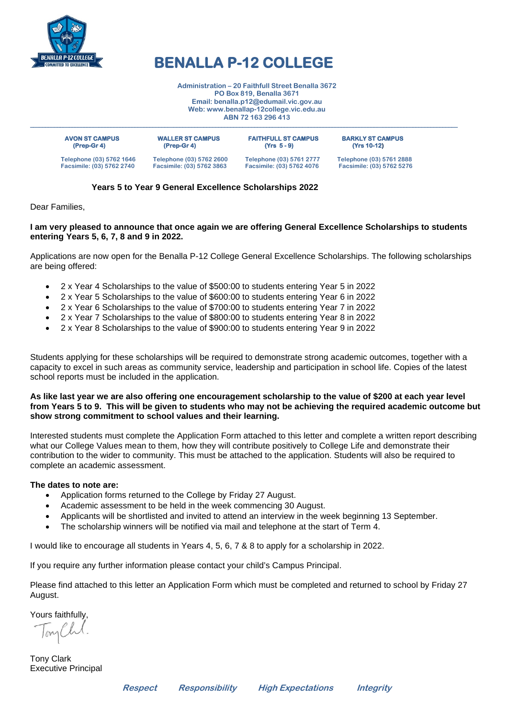

### **BENALLA P-12 COLLEGE**

**\_\_\_\_\_\_\_\_\_\_\_\_\_\_\_\_\_\_\_\_\_\_\_\_\_\_\_\_\_\_\_\_\_\_\_\_\_\_\_\_\_\_\_\_\_\_\_\_\_\_\_\_\_\_\_\_\_\_\_\_\_\_\_\_\_\_\_\_\_\_\_\_\_\_\_\_\_\_\_\_\_\_\_\_\_\_\_\_\_\_\_\_\_\_\_\_\_\_\_\_\_\_\_\_\_\_\_\_\_\_\_\_\_\_\_\_\_\_\_\_\_\_\_\_\_\_\_\_\_\_\_\_\_\_\_\_\_\_\_\_\_\_\_** 

**Administration – 20 Faithfull Street Benalla 3672 PO Box 819, Benalla 3671 Email[: benalla.p12@edumail.vic.gov.au](mailto:benalla.p12@edumail.vic.gov.au) Web[: www.benallap-12college.vic.edu.au](http://www.benallap-12college.vic.edu.au/) ABN 72 163 296 413**

| <b>AVON ST CAMPUS</b><br>$(Prep-Gr 4)$ | <b>WALLER ST CAMPUS</b><br>$(Prep-Gr 4)$ | <b>FAITHFULL ST CAMPUS</b><br>$(Yrs 5 - 9)$ | <b>BARKLY ST CAMPUS</b><br>(Yrs 10-12) |
|----------------------------------------|------------------------------------------|---------------------------------------------|----------------------------------------|
| Telephone (03) 5762 1646               | Telephone (03) 5762 2600                 | Telephone (03) 5761 2777                    | Telephone (03) 5761 2888               |
| Facsimile: (03) 5762 2740              | Facsimile: (03) 5762 3863                | Facsimile: (03) 5762 4076                   | Facsimile: (03) 5762 5276              |

#### **Years 5 to Year 9 General Excellence Scholarships 2022**

Dear Families,

#### **I am very pleased to announce that once again we are offering General Excellence Scholarships to students entering Years 5, 6, 7, 8 and 9 in 2022.**

Applications are now open for the Benalla P-12 College General Excellence Scholarships. The following scholarships are being offered:

- 2 x Year 4 Scholarships to the value of \$500:00 to students entering Year 5 in 2022
- 2 x Year 5 Scholarships to the value of \$600:00 to students entering Year 6 in 2022
- 2 x Year 6 Scholarships to the value of \$700:00 to students entering Year 7 in 2022
- 2 x Year 7 Scholarships to the value of \$800:00 to students entering Year 8 in 2022
- 2 x Year 8 Scholarships to the value of \$900:00 to students entering Year 9 in 2022

Students applying for these scholarships will be required to demonstrate strong academic outcomes, together with a capacity to excel in such areas as community service, leadership and participation in school life. Copies of the latest school reports must be included in the application.

#### **As like last year we are also offering one encouragement scholarship to the value of \$200 at each year level from Years 5 to 9. This will be given to students who may not be achieving the required academic outcome but show strong commitment to school values and their learning.**

Interested students must complete the Application Form attached to this letter and complete a written report describing what our College Values mean to them, how they will contribute positively to College Life and demonstrate their contribution to the wider to community. This must be attached to the application. Students will also be required to complete an academic assessment.

#### **The dates to note are:**

- Application forms returned to the College by Friday 27 August.
- Academic assessment to be held in the week commencing 30 August.
- Applicants will be shortlisted and invited to attend an interview in the week beginning 13 September.
- The scholarship winners will be notified via mail and telephone at the start of Term 4.

I would like to encourage all students in Years 4, 5, 6, 7 & 8 to apply for a scholarship in 2022.

If you require any further information please contact your child's Campus Principal.

Please find attached to this letter an Application Form which must be completed and returned to school by Friday 27 August.

Yours faithfully,

Tony Clark Executive Principal